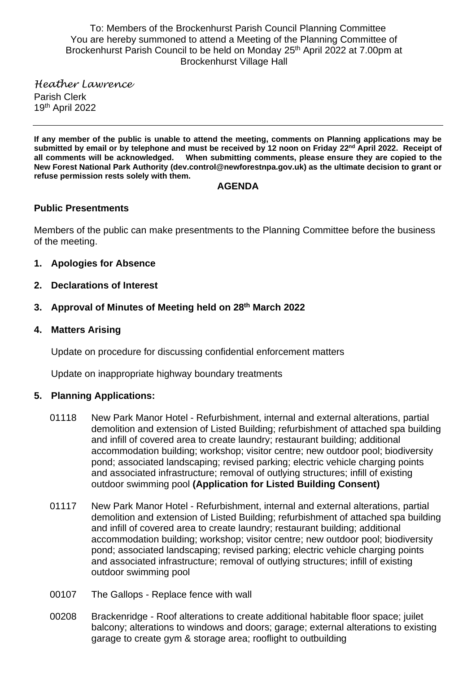To: Members of the Brockenhurst Parish Council Planning Committee You are hereby summoned to attend a Meeting of the Planning Committee of Brockenhurst Parish Council to be held on Monday 25<sup>th</sup> April 2022 at 7.00pm at Brockenhurst Village Hall

*Heather Lawrence* Parish Clerk 19th April 2022

**If any member of the public is unable to attend the meeting, comments on Planning applications may be submitted by email or by telephone and must be received by 12 noon on Friday 22nd April 2022. Receipt of all comments will be acknowledged. When submitting comments, please ensure they are copied to the New Forest National Park Authority (dev.control@newforestnpa.gov.uk) as the ultimate decision to grant or refuse permission rests solely with them.**

### **AGENDA**

## **Public Presentments**

Members of the public can make presentments to the Planning Committee before the business of the meeting.

- **1. Apologies for Absence**
- **2. Declarations of Interest**
- **3. Approval of Minutes of Meeting held on 28 th March 2022**
- **4. Matters Arising**

Update on procedure for discussing confidential enforcement matters

Update on inappropriate highway boundary treatments

## **5. Planning Applications:**

- 01118 New Park Manor Hotel Refurbishment, internal and external alterations, partial demolition and extension of Listed Building; refurbishment of attached spa building and infill of covered area to create laundry; restaurant building; additional accommodation building; workshop; visitor centre; new outdoor pool; biodiversity pond; associated landscaping; revised parking; electric vehicle charging points and associated infrastructure; removal of outlying structures; infill of existing outdoor swimming pool **(Application for Listed Building Consent)**
- 01117 New Park Manor Hotel Refurbishment, internal and external alterations, partial demolition and extension of Listed Building; refurbishment of attached spa building and infill of covered area to create laundry; restaurant building; additional accommodation building; workshop; visitor centre; new outdoor pool; biodiversity pond; associated landscaping; revised parking; electric vehicle charging points and associated infrastructure; removal of outlying structures; infill of existing outdoor swimming pool
- 00107 The Gallops Replace fence with wall
- 00208 Brackenridge Roof alterations to create additional habitable floor space; juilet balcony; alterations to windows and doors; garage; external alterations to existing garage to create gym & storage area; rooflight to outbuilding